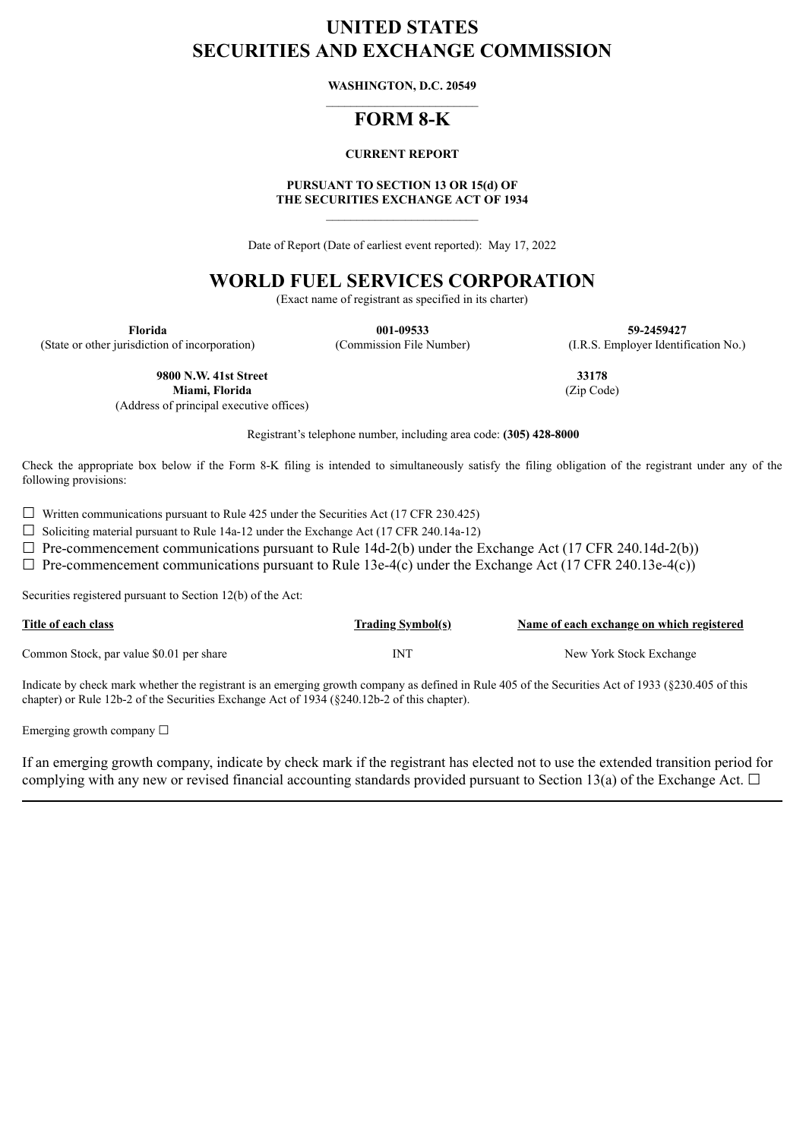# **UNITED STATES SECURITIES AND EXCHANGE COMMISSION**

### **WASHINGTON, D.C. 20549**

# **FORM 8-K**

### **CURRENT REPORT**

#### **PURSUANT TO SECTION 13 OR 15(d) OF THE SECURITIES EXCHANGE ACT OF 1934**

Date of Report (Date of earliest event reported): May 17, 2022

# **WORLD FUEL SERVICES CORPORATION**

(Exact name of registrant as specified in its charter)

**Florida** (State or other jurisdiction of incorporation)

**001-09533** (Commission File Number)

**59-2459427** (I.R.S. Employer Identification No.)

**9800 N.W. 41st Street Miami, Florida**

(Address of principal executive offices)

Registrant's telephone number, including area code: **(305) 428-8000**

Check the appropriate box below if the Form 8-K filing is intended to simultaneously satisfy the filing obligation of the registrant under any of the following provisions:

 $\Box$  Written communications pursuant to Rule 425 under the Securities Act (17 CFR 230.425)

 $\Box$  Soliciting material pursuant to Rule 14a-12 under the Exchange Act (17 CFR 240.14a-12)

 $\Box$  Pre-commencement communications pursuant to Rule 14d-2(b) under the Exchange Act (17 CFR 240.14d-2(b))

 $\Box$  Pre-commencement communications pursuant to Rule 13e-4(c) under the Exchange Act (17 CFR 240.13e-4(c))

Securities registered pursuant to Section 12(b) of the Act:

| Title of each class                      | <b>Trading Symbol(s)</b> | Name of each exchange on which registered |
|------------------------------------------|--------------------------|-------------------------------------------|
| Common Stock, par value \$0.01 per share | INT                      | New York Stock Exchange                   |

Indicate by check mark whether the registrant is an emerging growth company as defined in Rule 405 of the Securities Act of 1933 (§230.405 of this chapter) or Rule 12b-2 of the Securities Exchange Act of 1934 (§240.12b-2 of this chapter).

Emerging growth company  $\Box$ 

If an emerging growth company, indicate by check mark if the registrant has elected not to use the extended transition period for complying with any new or revised financial accounting standards provided pursuant to Section 13(a) of the Exchange Act.  $\Box$ 

**33178** (Zip Code)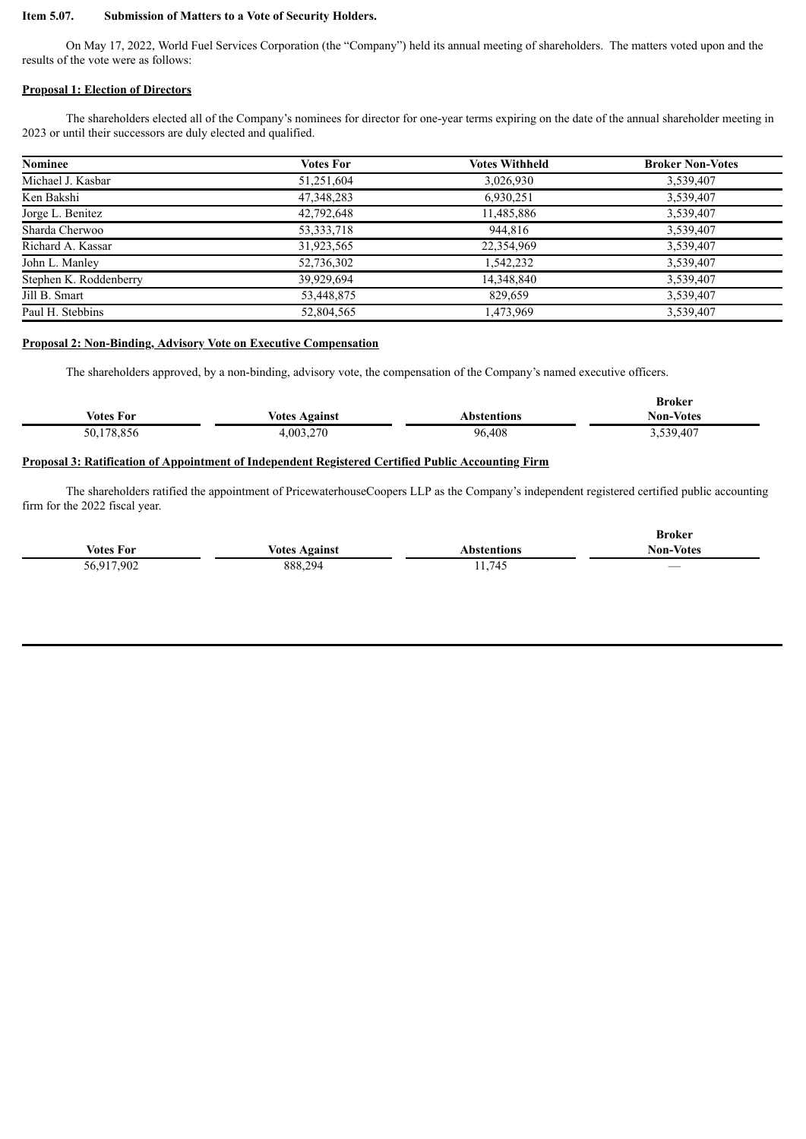## **Item 5.07. Submission of Matters to a Vote of Security Holders.**

On May 17, 2022, World Fuel Services Corporation (the "Company") held its annual meeting of shareholders. The matters voted upon and the results of the vote were as follows:

### **Proposal 1: Election of Directors**

The shareholders elected all of the Company's nominees for director for one-year terms expiring on the date of the annual shareholder meeting in 2023 or until their successors are duly elected and qualified.

| Nominee                | <b>Votes For</b> | <b>Votes Withheld</b> | <b>Broker Non-Votes</b> |
|------------------------|------------------|-----------------------|-------------------------|
| Michael J. Kasbar      | 51,251,604       | 3,026,930             | 3,539,407               |
| Ken Bakshi             | 47,348,283       | 6,930,251             | 3,539,407               |
| Jorge L. Benitez       | 42,792,648       | 11,485,886            | 3,539,407               |
| Sharda Cherwoo         | 53, 333, 718     | 944.816               | 3,539,407               |
| Richard A. Kassar      | 31,923,565       | 22,354,969            | 3,539,407               |
| John L. Manley         | 52,736,302       | 1,542,232             | 3,539,407               |
| Stephen K. Roddenberry | 39.929.694       | 14,348,840            | 3,539,407               |
| Jill B. Smart          | 53,448,875       | 829,659               | 3,539,407               |
| Paul H. Stebbins       | 52,804,565       | 1,473,969             | 3,539,407               |

#### **Proposal 2: Non-Binding, Advisory Vote on Executive Compensation**

The shareholders approved, by a non-binding, advisory vote, the compensation of the Company's named executive officers.

|                  |               |             | вгокег           |
|------------------|---------------|-------------|------------------|
| <b>Votes For</b> | Votes Against | Abstentions | <b>Non-Votes</b> |
| 50,178,856       | 4,003,270     | 96,408      | 3,539,407        |

**Broker**

**Broker**

#### **Proposal 3: Ratification of Appointment of Independent Registered Certified Public Accounting Firm**

The shareholders ratified the appointment of PricewaterhouseCoopers LLP as the Company's independent registered certified public accounting firm for the 2022 fiscal year.

|                  |                      |                                              | <i>DIVINI</i>            |
|------------------|----------------------|----------------------------------------------|--------------------------|
| <b>Votes For</b> | <b>Votes Against</b> | Abstentions                                  | <b>Non-Votes</b>         |
| 56,917,902       | 888,294              | $\overline{ }$ $\overline{ }$<br>745<br>11,7 | $\overline{\phantom{a}}$ |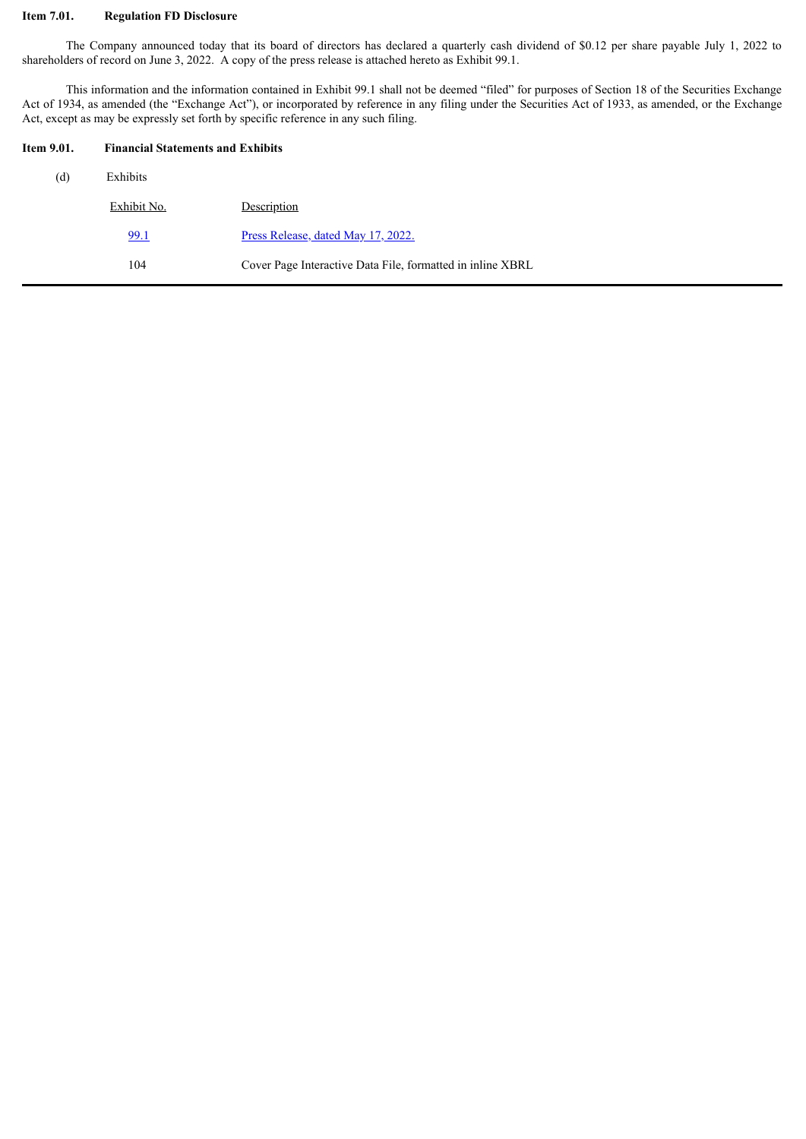#### **Item 7.01. Regulation FD Disclosure**

The Company announced today that its board of directors has declared a quarterly cash dividend of \$0.12 per share payable July 1, 2022 to shareholders of record on June 3, 2022. A copy of the press release is attached hereto as Exhibit 99.1.

This information and the information contained in Exhibit 99.1 shall not be deemed "filed" for purposes of Section 18 of the Securities Exchange Act of 1934, as amended (the "Exchange Act"), or incorporated by reference in any filing under the Securities Act of 1933, as amended, or the Exchange Act, except as may be expressly set forth by specific reference in any such filing.

#### **Item 9.01. Financial Statements and Exhibits**

| (d) | Exhibits    |                                                            |  |
|-----|-------------|------------------------------------------------------------|--|
|     | Exhibit No. | Description                                                |  |
|     | <u>99.1</u> | Press Release, dated May 17, 2022.                         |  |
|     | 104         | Cover Page Interactive Data File, formatted in inline XBRL |  |
|     |             |                                                            |  |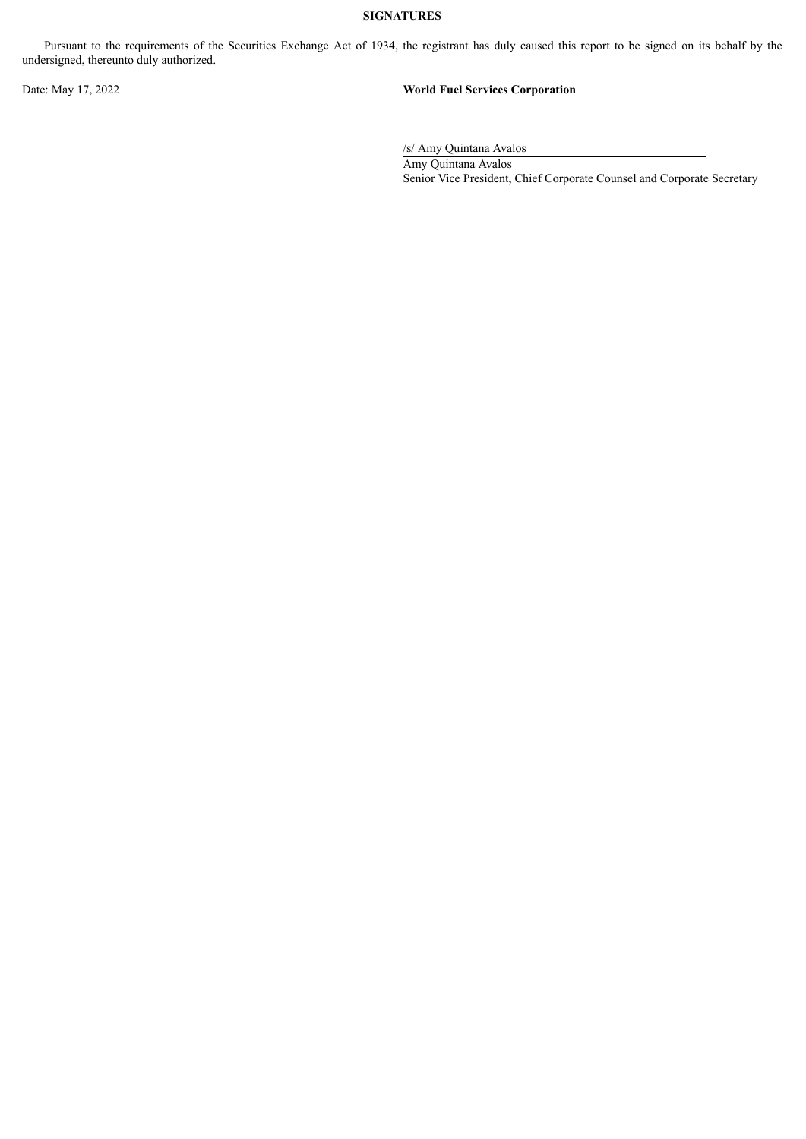## **SIGNATURES**

Pursuant to the requirements of the Securities Exchange Act of 1934, the registrant has duly caused this report to be signed on its behalf by the undersigned, thereunto duly authorized.

#### Date: May 17, 2022 **World Fuel Services Corporation**

/s/ Amy Quintana Avalos

Amy Quintana Avalos Senior Vice President, Chief Corporate Counsel and Corporate Secretary